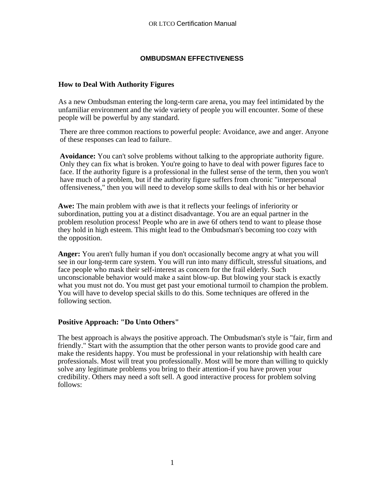### **OMBUDSMAN EFFECTIVENESS**

### **How to Deal With Authority Figures**

As a new Ombudsman entering the long-term care arena, you may feel intimidated by the unfamiliar environment and the wide variety of people you will encounter. Some of these people will be powerful by any standard.

There are three common reactions to powerful people: Avoidance, awe and anger. Anyone of these responses can lead to failure. .

**Avoidance:** You can't solve problems without talking to the appropriate authority figure. Only they can fix what is broken. You're going to have to deal with power figures face to face. If the authority figure is a professional in the fullest sense of the term, then you won't have much of a problem, but if the authority figure suffers from chronic "interpersonal offensiveness," then you will need to develop some skills to deal with his or her behavior

**Awe:** The main problem with awe is that it reflects your feelings of inferiority or subordination, putting you at a distinct disadvantage. You are an equal partner in the problem resolution process! People who are in awe 6f others tend to want to please those they hold in high esteem. This might lead to the Ombudsman's becoming too cozy with the opposition.

**Anger:** You aren't fully human if you don't occasionally become angry at what you will see in our long-term care system. You will run into many difficult, stressful situations, and face people who mask their self-interest as concern for the frail elderly. Such unconscionable behavior would make a saint blow-up. But blowing your stack is exactly what you must not do. You must get past your emotional turmoil to champion the problem. You will have to develop special skills to do this. Some techniques are offered in the following section.

#### **Positive Approach: "Do Unto Others"**

The best approach is always the positive approach. The Ombudsman's style is "fair, firm and friendly." Start with the assumption that the other person wants to provide good care and make the residents happy. You must be professional in your relationship with health care professionals. Most will treat you professionally. Most will be more than willing to quickly solve any legitimate problems you bring to their attention-if you have proven your credibility. Others may need a soft sell. A good interactive process for problem solving follows: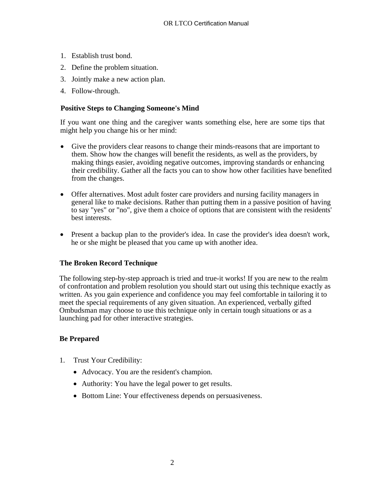- 1. Establish trust bond.
- 2. Define the problem situation.
- 3. Jointly make a new action plan.
- 4. Follow-through.

### **Positive Steps to Changing Someone's Mind**

If you want one thing and the caregiver wants something else, here are some tips that might help you change his or her mind:

- Give the providers clear reasons to change their minds-reasons that are important to them. Show how the changes will benefit the residents, as well as the providers, by making things easier, avoiding negative outcomes, improving standards or enhancing their credibility. Gather all the facts you can to show how other facilities have benefited from the changes.
- Offer alternatives. Most adult foster care providers and nursing facility managers in general like to make decisions. Rather than putting them in a passive position of having to say "yes" or "no", give them a choice of options that are consistent with the residents' best interests.
- Present a backup plan to the provider's idea. In case the provider's idea doesn't work, he or she might be pleased that you came up with another idea.

#### **The Broken Record Technique**

The following step-by-step approach is tried and true-it works! If you are new to the realm of confrontation and problem resolution you should start out using this technique exactly as written. As you gain experience and confidence you may feel comfortable in tailoring it to meet the special requirements of any given situation. An experienced, verbally gifted Ombudsman may choose to use this technique only in certain tough situations or as a launching pad for other interactive strategies.

#### **Be Prepared**

- 1. Trust Your Credibility:
	- Advocacy. You are the resident's champion.
	- Authority: You have the legal power to get results.
	- Bottom Line: Your effectiveness depends on persuasiveness.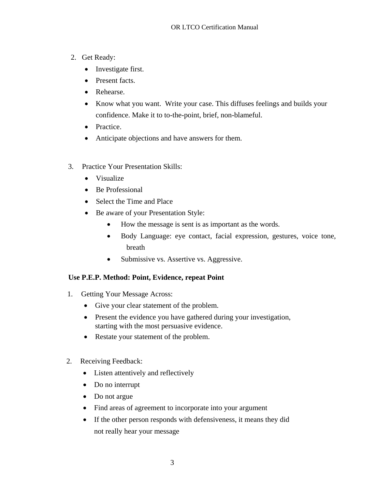- 2. Get Ready:
	- Investigate first.
	- Present facts.
	- Rehearse.
	- Know what you want. Write your case. This diffuses feelings and builds your confidence. Make it to to-the-point, brief, non-blameful.
	- Practice.
	- Anticipate objections and have answers for them.
- 3. Practice Your Presentation Skills:
	- Visualize
	- Be Professional
	- Select the Time and Place
	- Be aware of your Presentation Style:
		- How the message is sent is as important as the words.
		- Body Language: eye contact, facial expression, gestures, voice tone, breath
		- Submissive vs. Assertive vs. Aggressive.

# **Use P.E.P. Method: Point, Evidence, repeat Point**

- 1. Getting Your Message Across:
	- Give your clear statement of the problem.
	- Present the evidence you have gathered during your investigation, starting with the most persuasive evidence.
	- Restate your statement of the problem.
- 2. Receiving Feedback:
	- Listen attentively and reflectively
	- Do no interrupt
	- Do not argue
	- Find areas of agreement to incorporate into your argument
	- If the other person responds with defensiveness, it means they did not really hear your message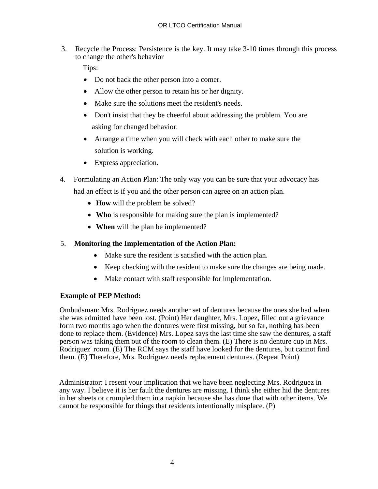3. Recycle the Process: Persistence is the key. It may take 3-10 times through this process to change the other's behavior

Tips:

- Do not back the other person into a comer.
- Allow the other person to retain his or her dignity.
- Make sure the solutions meet the resident's needs.
- Don't insist that they be cheerful about addressing the problem. You are asking for changed behavior.
- Arrange a time when you will check with each other to make sure the solution is working.
- Express appreciation.
- 4. Formulating an Action Plan: The only way you can be sure that your advocacy has had an effect is if you and the other person can agree on an action plan.
	- **How** will the problem be solved?
	- **Who** is responsible for making sure the plan is implemented?
	- **When** will the plan be implemented?

# 5. **Monitoring the Implementation of the Action Plan:**

- Make sure the resident is satisfied with the action plan.
- Keep checking with the resident to make sure the changes are being made.
- Make contact with staff responsible for implementation.

# **Example of PEP Method:**

Ombudsman: Mrs. Rodriguez needs another set of dentures because the ones she had when she was admitted have been lost. (Point) Her daughter, Mrs. Lopez, filled out a grievance form two months ago when the dentures were first missing, but so far, nothing has been done to replace them. (Evidence) Mrs. Lopez says the last time she saw the dentures, a staff person was taking them out of the room to clean them. (E) There is no denture cup in Mrs. Rodriguez' room. (E) The RCM says the staff have looked for the dentures, but cannot find them. (E) Therefore, Mrs. Rodriguez needs replacement dentures. (Repeat Point)

Administrator: I resent your implication that we have been neglecting Mrs. Rodriguez in any way. I believe it is her fault the dentures are missing. I think she either hid the dentures in her sheets or crumpled them in a napkin because she has done that with other items. We cannot be responsible for things that residents intentionally misplace. (P)